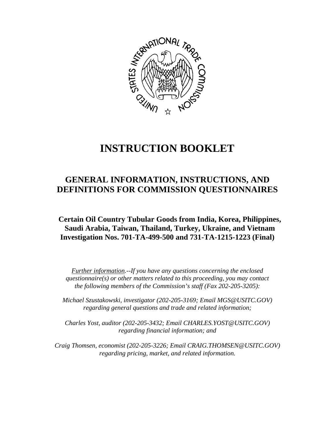

# **INSTRUCTION BOOKLET**

# **GENERAL INFORMATION, INSTRUCTIONS, AND DEFINITIONS FOR COMMISSION QUESTIONNAIRES**

**Certain Oil Country Tubular Goods from India, Korea, Philippines, Saudi Arabia, Taiwan, Thailand, Turkey, Ukraine, and Vietnam Investigation Nos. 701-TA-499-500 and 731-TA-1215-1223 (Final)** 

*Further information.--If you have any questions concerning the enclosed questionnaire(s) or other matters related to this proceeding, you may contact the following members of the Commission's staff (Fax 202-205-3205):* 

 *Michael Szustakowski, investigator (202-205-3169; Email MGS@USITC.GOV) regarding general questions and trade and related information;* 

 *Charles Yost, auditor (202-205-3432; Email CHARLES.YOST@USITC.GOV) regarding financial information; and* 

 *Craig Thomsen, economist (202-205-3226; Email CRAIG.THOMSEN@USITC.GOV) regarding pricing, market, and related information.*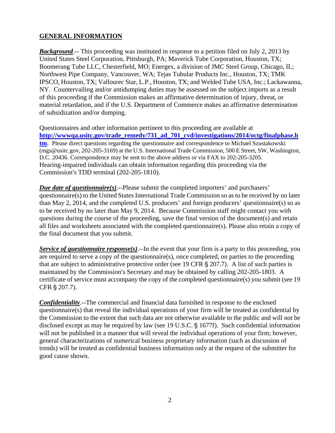# **GENERAL INFORMATION**

*Background*.-- This proceeding was instituted in response to a petition filed on July 2, 2013 by United States Steel Corporation, Pittsburgh, PA; Maverick Tube Corporation, Houston, TX; Boomerang Tube LLC, Chesterfield, MO; Energex, a division of JMC Steel Group, Chicago, IL; Northwest Pipe Company, Vancouver, WA; Tejas Tubular Products Inc., Houston, TX; TMK IPSCO, Houston, TX; Vallourec Star, L.P., Houston, TX; and Welded Tube USA, Inc.; Lackawanna, NY. Countervailing and/or antidumping duties may be assessed on the subject imports as a result of this proceeding if the Commission makes an affirmative determination of injury, threat, or material retardation, and if the U.S. Department of Commerce makes an affirmative determination of subsidization and/or dumping.

Questionnaires and other information pertinent to this proceeding are available at **http://wwwqa.usitc.gov/trade\_remedy/731\_ad\_701\_cvd/investigations/2014/octg/finalphase.h tm**. Please direct questions regarding the questionnaire and correspondence to Michael Szustakowski (mgs@usitc.gov, 202-205-3169) at the U.S. International Trade Commission, 500 E Street, SW, Washington, D.C. 20436. Correspondence may be sent to the above address or via FAX to 202-205-3205. Hearing-impaired individuals can obtain information regarding this proceeding via the Commission's TDD terminal (202-205-1810).

*Due date of questionnaire(s)*.--Please submit the completed importers' and purchasers' questionnaire(s) to the United States International Trade Commission so as to be received by no later than May 2, 2014, and the completed U.S. producers' and foreign producers' questionnaire(s) so as to be received by no later than May 9, 2014. Because Commission staff might contact you with questions during the course of the proceeding, save the final version of the document(s) and retain all files and worksheets associated with the completed questionnaire(s). Please also retain a copy of the final document that you submit.

*Service of questionnaire response(s)*.--In the event that your firm is a party to this proceeding, you are required to serve a copy of the questionnaire(s), once completed, on parties to the proceeding that are subject to administrative protective order (see 19 CFR  $\S 207.7$ ). A list of such parties is maintained by the Commission's Secretary and may be obtained by calling 202-205-1803. A certificate of service must accompany the copy of the completed questionnaire(s) you submit (see 19 CFR § 207.7).

*Confidentiality*.--The commercial and financial data furnished in response to the enclosed questionnaire(s) that reveal the individual operations of your firm will be treated as confidential by the Commission to the extent that such data are not otherwise available to the public and will not be disclosed except as may be required by law (see  $19$  U.S.C.  $\S$  1677f). Such confidential information will not be published in a manner that will reveal the individual operations of your firm; however, general characterizations of numerical business proprietary information (such as discussion of trends) will be treated as confidential business information only at the request of the submitter for good cause shown.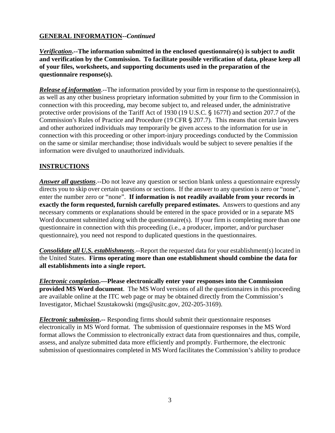# **GENERAL INFORMATION--***Continued*

*Verification***.--The information submitted in the enclosed questionnaire(s) is subject to audit and verification by the Commission. To facilitate possible verification of data, please keep all of your files, worksheets, and supporting documents used in the preparation of the questionnaire response(s).**

*Release of information*.--The information provided by your firm in response to the questionnaire(s), as well as any other business proprietary information submitted by your firm to the Commission in connection with this proceeding, may become subject to, and released under, the administrative protective order provisions of the Tariff Act of 1930 (19 U.S.C. § 1677f) and section 207.7 of the Commission's Rules of Practice and Procedure (19 CFR § 207.7). This means that certain lawyers and other authorized individuals may temporarily be given access to the information for use in connection with this proceeding or other import-injury proceedings conducted by the Commission on the same or similar merchandise; those individuals would be subject to severe penalties if the information were divulged to unauthorized individuals.

#### **INSTRUCTIONS**

*Answer all questions*.--Do not leave any question or section blank unless a questionnaire expressly directs you to skip over certain questions or sections. If the answer to any question is zero or "none", enter the number zero or "none". **If information is not readily available from your records in exactly the form requested, furnish carefully prepared estimates.** Answers to questions and any necessary comments or explanations should be entered in the space provided or in a separate MS Word document submitted along with the questionnaire(s). If your firm is completing more than one questionnaire in connection with this proceeding (i.e., a producer, importer, and/or purchaser questionnaire), you need not respond to duplicated questions in the questionnaires.

*Consolidate all U.S. establishments*.--Report the requested data for your establishment(s) located in the United States. **Firms operating more than one establishment should combine the data for all establishments into a single report.**

*Electronic completion***.—Please electronically enter your responses into the Commission provided MS Word document**. The MS Word versions of all the questionnaires in this proceeding are available online at the ITC web page or may be obtained directly from the Commission's Investigator, Michael Szustakowski (mgs@usitc.gov, 202-205-3169).

*Electronic submission***.--** Responding firms should submit their questionnaire responses electronically in MS Word format. The submission of questionnaire responses in the MS Word format allows the Commission to electronically extract data from questionnaires and thus, compile, assess, and analyze submitted data more efficiently and promptly. Furthermore, the electronic submission of questionnaires completed in MS Word facilitates the Commission's ability to produce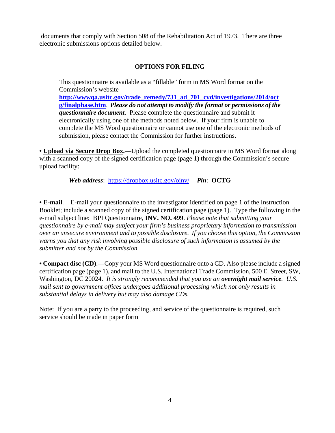documents that comply with Section 508 of the Rehabilitation Act of 1973. There are three electronic submissions options detailed below.

# **OPTIONS FOR FILING**

This questionnaire is available as a "fillable" form in MS Word format on the Commission's website **http://wwwqa.usitc.gov/trade\_remedy/731\_ad\_701\_cvd/investigations/2014/oct g/finalphase.htm**. *Please do not attempt to modify the format or permissions of the questionnaire document*. Please complete the questionnaire and submit it electronically using one of the methods noted below. If your firm is unable to complete the MS Word questionnaire or cannot use one of the electronic methods of submission, please contact the Commission for further instructions.

**• Upload via Secure Drop Box.**—Upload the completed questionnaire in MS Word format along with a scanned copy of the signed certification page (page 1) through the Commission's secure upload facility:

*Web address*: https://dropbox.usitc.gov/oinv/ *Pin*: **OCTG**

**• E-mail**.—E-mail your questionnaire to the investigator identified on page 1 of the Instruction Booklet; include a scanned copy of the signed certification page (page 1). Type the following in the e-mail subject line: BPI Questionnaire, **INV. NO. 499**. *Please note that submitting your questionnaire by e-mail may subject your firm's business proprietary information to transmission over an unsecure environment and to possible disclosure. If you choose this option, the Commission warns you that any risk involving possible disclosure of such information is assumed by the submitter and not by the Commission.* 

**• Compact disc (CD)**.—Copy your MS Word questionnaire onto a CD. Also please include a signed certification page (page 1), and mail to the U.S. International Trade Commission, 500 E. Street, SW, Washington, DC 20024. *It is strongly recommended that you use an overnight mail service. U.S. mail sent to government offices undergoes additional processing which not only results in substantial delays in delivery but may also damage CDs.* 

Note: If you are a party to the proceeding, and service of the questionnaire is required, such service should be made in paper form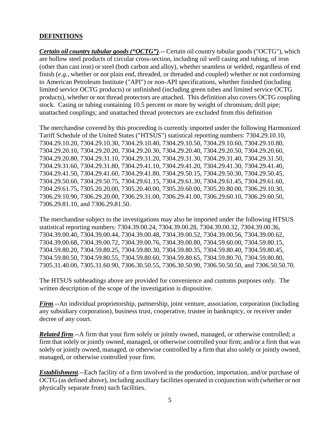#### **DEFINITIONS**

*Certain oil country tubular goods ("OCTG")*.-- Certain oil country tubular goods ("OCTG"), which are hollow steel products of circular cross-section, including oil well casing and tubing, of iron (other than cast iron) or steel (both carbon and alloy), whether seamless or welded, regardless of end finish (*e.g.*, whether or not plain end, threaded, or threaded and coupled) whether or not conforming to American Petroleum Institute ("API") or non-API specifications, whether finished (including limited service OCTG products) or unfinished (including green tubes and limited service OCTG products), whether or not thread protectors are attached. This definition also covers OCTG coupling stock. Casing or tubing containing 10.5 percent or more by weight of chromium; drill pipe; unattached couplings; and unattached thread protectors are excluded from this definition

The merchandise covered by this proceeding is currently imported under the following Harmonized Tariff Schedule of the United States ("HTSUS") statistical reporting numbers: 7304.29.10.10, 7304.29.10.20, 7304.29.10.30, 7304.29.10.40, 7304.29.10.50, 7304.29.10.60, 7304.29.10.80, 7304.29.20.10, 7304.29.20.20, 7304.29.20.30, 7304.29.20.40, 7304.29.20.50, 7304.29.20.60, 7304.29.20.80, 7304.29.31.10, 7304.29.31.20, 7304.29.31.30, 7304.29.31.40, 7304.29.31.50, 7304.29.31.60, 7304.29.31.80, 7304.29.41.10, 7304.29.41.20, 7304.29.41.30, 7304.29.41.40, 7304.29.41.50, 7304.29.41.60, 7304.29.41.80, 7304.29.50.15, 7304.29.50.30, 7304.29.50.45, 7304.29.50.60, 7304.29.50.75, 7304.29.61.15, 7304.29.61.30, 7304.29.61.45, 7304.29.61.60, 7304.29.61.75, 7305.20.20.00, 7305.20.40.00, 7305.20.60.00, 7305.20.80.00, 7306.29.10.30, 7306.29.10.90, 7306.29.20.00, 7306.29.31.00, 7306.29.41.00, 7306.29.60.10, 7306.29.60.50, 7306.29.81.10, and 7306.29.81.50.

The merchandise subject to the investigations may also be imported under the following HTSUS statistical reporting numbers: 7304.39.00.24, 7304.39.00.28, 7304.39.00.32, 7304.39.00.36, 7304.39.00.40, 7304.39.00.44, 7304.39.00.48, 7304.39.00.52, 7304.39.00.56, 7304.39.00.62, 7304.39.00.68, 7304.39.00.72, 7304.39.00.76, 7304.39.00.80, 7304.59.60.00, 7304.59.80.15, 7304.59.80.20, 7304.59.80.25, 7304.59.80.30, 7304.59.80.35, 7304.59.80.40, 7304.59.80.45, 7304.59.80.50, 7304.59.80.55, 7304.59.80.60, 7304.59.80.65, 7304.59.80.70, 7304.59.80.80, 7305.31.40.00, 7305.31.60.90, 7306.30.50.55, 7306.30.50.90, 7306.50.50.50, and 7306.50.50.70.

The HTSUS subheadings above are provided for convenience and customs purposes only. The written description of the scope of the investigation is dispositive.

*Firm*.--An individual proprietorship, partnership, joint venture, association, corporation (including any subsidiary corporation), business trust, cooperative, trustee in bankruptcy, or receiver under decree of any court.

*Related firm*.--A firm that your firm solely or jointly owned, managed, or otherwise controlled; a firm that solely or jointly owned, managed, or otherwise controlled your firm; and/or a firm that was solely or jointly owned, managed, or otherwise controlled by a firm that also solely or jointly owned, managed, or otherwise controlled your firm.

*Establishment*.--Each facility of a firm involved in the production, importation, and/or purchase of OCTG (as defined above), including auxiliary facilities operated in conjunction with (whether or not physically separate from) such facilities.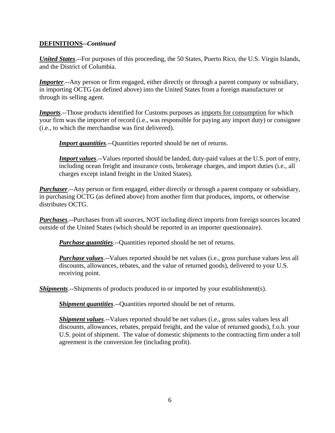#### **DEFINITIONS--***Continued*

*United States*.--For purposes of this proceeding, the 50 States, Puerto Rico, the U.S. Virgin Islands, and the District of Columbia.

*Importer*.--Any person or firm engaged, either directly or through a parent company or subsidiary, in importing OCTG (as defined above) into the United States from a foreign manufacturer or through its selling agent.

*Imports*.--Those products identified for Customs purposes as imports for consumption for which your firm was the importer of record (i.e., was responsible for paying any import duty) or consignee (i.e., to which the merchandise was first delivered).

*Import quantities*.--Quantities reported should be net of returns.

*Import values*.--Values reported should be landed, duty-paid values at the U.S. port of entry, including ocean freight and insurance costs, brokerage charges, and import duties (i.e., all charges except inland freight in the United States).

*Purchaser*.--Any person or firm engaged, either directly or through a parent company or subsidiary, in purchasing OCTG (as defined above) from another firm that produces, imports, or otherwise distributes OCTG.

*Purchases*.--Purchases from all sources, NOT including direct imports from foreign sources located outside of the United States (which should be reported in an importer questionnaire).

*Purchase quantities*.--Quantities reported should be net of returns.

*Purchase values*.--Values reported should be net values (i.e., gross purchase values less all discounts, allowances, rebates, and the value of returned goods), delivered to your U.S. receiving point.

*Shipments*.--Shipments of products produced in or imported by your establishment(s).

*Shipment quantities*.--Quantities reported should be net of returns.

*Shipment values*.--Values reported should be net values (i.e., gross sales values less all discounts, allowances, rebates, prepaid freight, and the value of returned goods), f.o.b. your U.S. point of shipment. The value of domestic shipments to the contracting firm under a toll agreement is the conversion fee (including profit).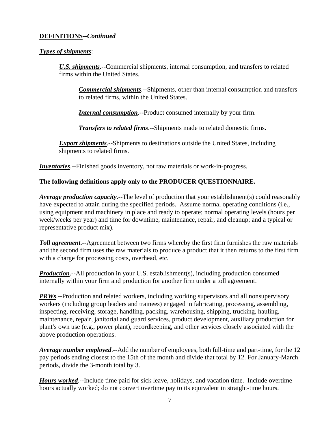#### **DEFINITIONS--***Continued*

#### *Types of shipments*:

*U.S. shipments*.--Commercial shipments, internal consumption, and transfers to related firms within the United States.

*Commercial shipments*.--Shipments, other than internal consumption and transfers to related firms, within the United States.

*Internal consumption*.--Product consumed internally by your firm.

*Transfers to related firms*.--Shipments made to related domestic firms.

**Export shipments**.--Shipments to destinations outside the United States, including shipments to related firms.

*Inventories*.--Finished goods inventory, not raw materials or work-in-progress.

#### **The following definitions apply only to the PRODUCER QUESTIONNAIRE.**

*Average production capacity*.--The level of production that your establishment(s) could reasonably have expected to attain during the specified periods. Assume normal operating conditions (i.e., using equipment and machinery in place and ready to operate; normal operating levels (hours per week/weeks per year) and time for downtime, maintenance, repair, and cleanup; and a typical or representative product mix).

*Toll agreement*.--Agreement between two firms whereby the first firm furnishes the raw materials and the second firm uses the raw materials to produce a product that it then returns to the first firm with a charge for processing costs, overhead, etc.

*Production*.--All production in your U.S. establishment(s), including production consumed internally within your firm and production for another firm under a toll agreement.

*PRWs*.--Production and related workers, including working supervisors and all nonsupervisory workers (including group leaders and trainees) engaged in fabricating, processing, assembling, inspecting, receiving, storage, handling, packing, warehousing, shipping, trucking, hauling, maintenance, repair, janitorial and guard services, product development, auxiliary production for plant's own use (e.g., power plant), recordkeeping, and other services closely associated with the above production operations.

*Average number employed*.--Add the number of employees, both full-time and part-time, for the 12 pay periods ending closest to the 15th of the month and divide that total by 12. For January-March periods, divide the 3-month total by 3.

*Hours worked*.--Include time paid for sick leave, holidays, and vacation time. Include overtime hours actually worked; do not convert overtime pay to its equivalent in straight-time hours.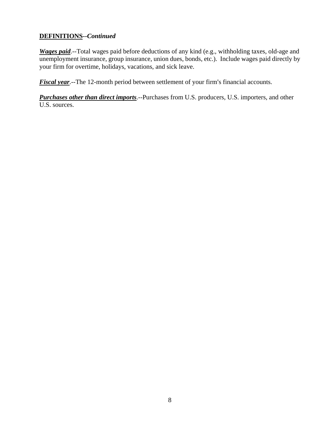# **DEFINITIONS--***Continued*

*Wages paid*.--Total wages paid before deductions of any kind (e.g., withholding taxes, old-age and unemployment insurance, group insurance, union dues, bonds, etc.). Include wages paid directly by your firm for overtime, holidays, vacations, and sick leave.

*Fiscal year*.--The 12-month period between settlement of your firm's financial accounts.

*Purchases other than direct imports*.--Purchases from U.S. producers, U.S. importers, and other U.S. sources.